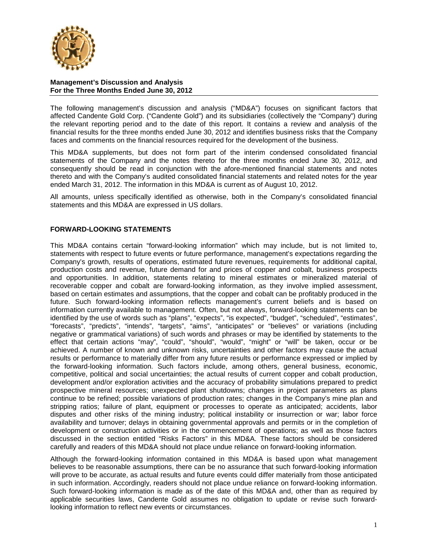

The following management's discussion and analysis ("MD&A") focuses on significant factors that affected Candente Gold Corp. ("Candente Gold") and its subsidiaries (collectively the "Company") during the relevant reporting period and to the date of this report. It contains a review and analysis of the financial results for the three months ended June 30, 2012 and identifies business risks that the Company faces and comments on the financial resources required for the development of the business.

This MD&A supplements, but does not form part of the interim condensed consolidated financial statements of the Company and the notes thereto for the three months ended June 30, 2012, and consequently should be read in conjunction with the afore-mentioned financial statements and notes thereto and with the Company's audited consolidated financial statements and related notes for the year ended March 31, 2012. The information in this MD&A is current as of August 10, 2012.

All amounts, unless specifically identified as otherwise, both in the Company's consolidated financial statements and this MD&A are expressed in US dollars.

### **FORWARD-LOOKING STATEMENTS**

This MD&A contains certain "forward-looking information" which may include, but is not limited to, statements with respect to future events or future performance, management's expectations regarding the Company's growth, results of operations, estimated future revenues, requirements for additional capital, production costs and revenue, future demand for and prices of copper and cobalt, business prospects and opportunities. In addition, statements relating to mineral estimates or mineralized material of recoverable copper and cobalt are forward-looking information, as they involve implied assessment, based on certain estimates and assumptions, that the copper and cobalt can be profitably produced in the future. Such forward-looking information reflects management's current beliefs and is based on information currently available to management. Often, but not always, forward-looking statements can be identified by the use of words such as "plans", "expects", "is expected", "budget", "scheduled", "estimates", "forecasts", "predicts", "intends", "targets", "aims", "anticipates" or "believes" or variations (including negative or grammatical variations) of such words and phrases or may be identified by statements to the effect that certain actions "may", "could", "should", "would", "might" or "will" be taken, occur or be achieved. A number of known and unknown risks, uncertainties and other factors may cause the actual results or performance to materially differ from any future results or performance expressed or implied by the forward-looking information. Such factors include, among others, general business, economic, competitive, political and social uncertainties; the actual results of current copper and cobalt production, development and/or exploration activities and the accuracy of probability simulations prepared to predict prospective mineral resources; unexpected plant shutdowns; changes in project parameters as plans continue to be refined; possible variations of production rates; changes in the Company's mine plan and stripping ratios; failure of plant, equipment or processes to operate as anticipated; accidents, labor disputes and other risks of the mining industry; political instability or insurrection or war; labor force availability and turnover; delays in obtaining governmental approvals and permits or in the completion of development or construction activities or in the commencement of operations; as well as those factors discussed in the section entitled "Risks Factors" in this MD&A. These factors should be considered carefully and readers of this MD&A should not place undue reliance on forward-looking information.

Although the forward-looking information contained in this MD&A is based upon what management believes to be reasonable assumptions, there can be no assurance that such forward-looking information will prove to be accurate, as actual results and future events could differ materially from those anticipated in such information. Accordingly, readers should not place undue reliance on forward-looking information. Such forward-looking information is made as of the date of this MD&A and, other than as required by applicable securities laws, Candente Gold assumes no obligation to update or revise such forwardlooking information to reflect new events or circumstances.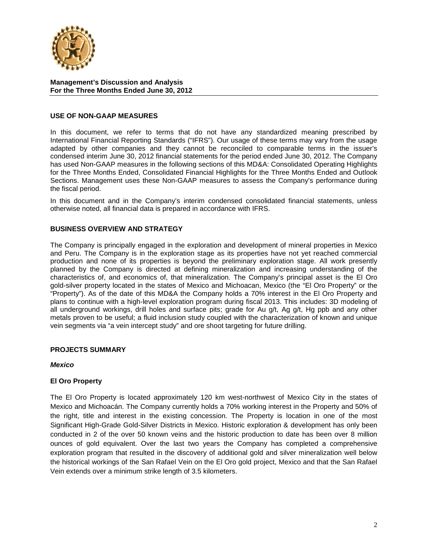

#### **USE OF NON-GAAP MEASURES**

In this document, we refer to terms that do not have any standardized meaning prescribed by International Financial Reporting Standards ("IFRS"). Our usage of these terms may vary from the usage adapted by other companies and they cannot be reconciled to comparable terms in the issuer's condensed interim June 30, 2012 financial statements for the period ended June 30, 2012. The Company has used Non-GAAP measures in the following sections of this MD&A: Consolidated Operating Highlights for the Three Months Ended, Consolidated Financial Highlights for the Three Months Ended and Outlook Sections. Management uses these Non-GAAP measures to assess the Company's performance during the fiscal period.

In this document and in the Company's interim condensed consolidated financial statements, unless otherwise noted, all financial data is prepared in accordance with IFRS.

### **BUSINESS OVERVIEW AND STRATEGY**

The Company is principally engaged in the exploration and development of mineral properties in Mexico and Peru. The Company is in the exploration stage as its properties have not yet reached commercial production and none of its properties is beyond the preliminary exploration stage. All work presently planned by the Company is directed at defining mineralization and increasing understanding of the characteristics of, and economics of, that mineralization. The Company's principal asset is the El Oro gold-silver property located in the states of Mexico and Michoacan, Mexico (the "El Oro Property" or the "Property"). As of the date of this MD&A the Company holds a 70% interest in the El Oro Property and plans to continue with a high-level exploration program during fiscal 2013. This includes: 3D modeling of all underground workings, drill holes and surface pits; grade for Au g/t, Ag g/t, Hg ppb and any other metals proven to be useful; a fluid inclusion study coupled with the characterization of known and unique vein segments via "a vein intercept study" and ore shoot targeting for future drilling.

#### **PROJECTS SUMMARY**

#### *Mexico*

#### **El Oro Property**

The El Oro Property is located approximately 120 km west-northwest of Mexico City in the states of Mexico and Michoacán. The Company currently holds a 70% working interest in the Property and 50% of the right, title and interest in the existing concession. The Property is location in one of the most Significant High-Grade Gold-Silver Districts in Mexico. Historic exploration & development has only been conducted in 2 of the over 50 known veins and the historic production to date has been over 8 million ounces of gold equivalent. Over the last two years the Company has completed a comprehensive exploration program that resulted in the discovery of additional gold and silver mineralization well below the historical workings of the San Rafael Vein on the El Oro gold project, Mexico and that the San Rafael Vein extends over a minimum strike length of 3.5 kilometers.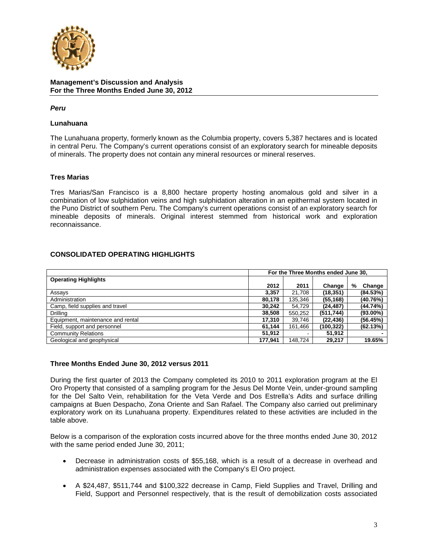

### *Peru*

### **Lunahuana**

The Lunahuana property, formerly known as the Columbia property, covers 5,387 hectares and is located in central Peru. The Company's current operations consist of an exploratory search for mineable deposits of minerals. The property does not contain any mineral resources or mineral reserves.

## **Tres Marias**

Tres Marias/San Francisco is a 8,800 hectare property hosting anomalous gold and silver in a combination of low sulphidation veins and high sulphidation alteration in an epithermal system located in the Puno District of southern Peru. The Company's current operations consist of an exploratory search for mineable deposits of minerals. Original interest stemmed from historical work and exploration reconnaissance.

### **CONSOLIDATED OPERATING HIGHLIGHTS**

|                                   | For the Three Months ended June 30, |         |            |             |
|-----------------------------------|-------------------------------------|---------|------------|-------------|
| <b>Operating Highlights</b>       |                                     |         |            |             |
|                                   | 2012                                | 2011    | Change     | %<br>Change |
| Assays                            | 3,357                               | 21.708  | (18, 351)  | (84.53%)    |
| Administration                    | 80.178                              | 135,346 | (55, 168)  | (40.76%)    |
| Camp, field supplies and travel   | 30.242                              | 54.729  | (24, 487)  | $(44.74\%)$ |
| Drilling                          | 38,508                              | 550,252 | (511, 744) | $(93.00\%)$ |
| Equipment, maintenance and rental | 17,310                              | 39,746  | (22, 436)  | (56.45%)    |
| Field, support and personnel      | 61.144                              | 161.466 | (100, 322) | (62.13%)    |
| <b>Community Relations</b>        | 51.912                              |         | 51.912     |             |
| Geological and geophysical        | 177.941                             | 148.724 | 29,217     | 19.65%      |

#### **Three Months Ended June 30, 2012 versus 2011**

During the first quarter of 2013 the Company completed its 2010 to 2011 exploration program at the El Oro Property that consisted of a sampling program for the Jesus Del Monte Vein, under-ground sampling for the Del Salto Vein, rehabilitation for the Veta Verde and Dos Estrella's Adits and surface drilling campaigns at Buen Despacho, Zona Oriente and San Rafael. The Company also carried out preliminary exploratory work on its Lunahuana property. Expenditures related to these activities are included in the table above.

Below is a comparison of the exploration costs incurred above for the three months ended June 30, 2012 with the same period ended June 30, 2011;

- Decrease in administration costs of \$55,168, which is a result of a decrease in overhead and administration expenses associated with the Company's El Oro project.
- A \$24,487, \$511,744 and \$100,322 decrease in Camp, Field Supplies and Travel, Drilling and Field, Support and Personnel respectively, that is the result of demobilization costs associated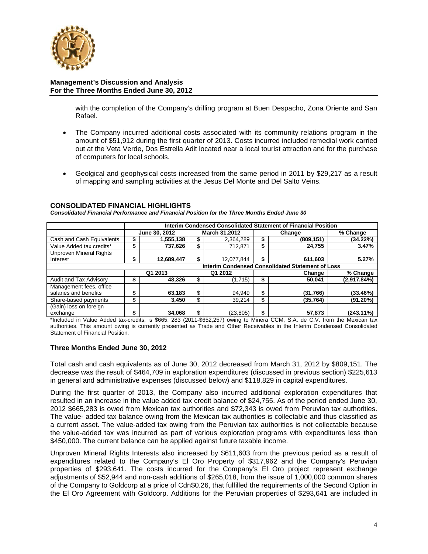

with the completion of the Company's drilling program at Buen Despacho, Zona Oriente and San Rafael.

- The Company incurred additional costs associated with its community relations program in the amount of \$51,912 during the first quarter of 2013. Costs incurred included remedial work carried out at the Veta Verde, Dos Estrella Adit located near a local tourist attraction and for the purchase of computers for local schools.
- Geolgical and geophysical costs increased from the same period in 2011 by \$29,217 as a result of mapping and sampling activities at the Jesus Del Monte and Del Salto Veins.

### **CONSOLIDATED FINANCIAL HIGHLIGHTS**

*Consolidated Financial Performance and Financial Position for the Three Months Ended June 30*

|                                                  | Interim Condensed Consolidated Statement of Financial Position |               |               |            |            |           |             |  |
|--------------------------------------------------|----------------------------------------------------------------|---------------|---------------|------------|------------|-----------|-------------|--|
|                                                  |                                                                | June 30, 2012 | March 31,2012 |            | Change     |           | % Change    |  |
| Cash and Cash Equivalents                        |                                                                | 1,555,138     | \$            | 2,364,289  | (809, 151) |           | (34.22%)    |  |
| Value Added tax credits*                         |                                                                | 737.626       | \$            | 712,871    |            | 24,755    | 3.47%       |  |
| <b>Unproven Mineral Rights</b>                   |                                                                |               |               |            |            |           |             |  |
| Interest                                         | S                                                              | 12,689,447    | \$            | 12,077,844 | \$         | 611,603   | 5.27%       |  |
| Interim Condensed Consolidated Statement of Loss |                                                                |               |               |            |            |           |             |  |
|                                                  |                                                                | Q1 2013       | Q1 2012       |            | Change     |           | % Change    |  |
| Audit and Tax Advisory                           |                                                                | 48,326        | \$            | (1,715)    | S          | 50,041    | (2,917.84%) |  |
| Management fees, office                          |                                                                |               |               |            |            |           |             |  |
| salaries and benefits                            |                                                                | 63,183        | \$            | 94,949     | S          | (31,766)  | (33.46%)    |  |
| Share-based payments                             |                                                                | 3,450         | \$            | 39,214     | \$         | (35, 764) | (91.20%)    |  |
| (Gain) loss on foreign                           |                                                                |               |               |            |            |           |             |  |
| exchange                                         | \$                                                             | 34,068        | \$            | (23, 805)  | \$         | 57,873    | (243.11%)   |  |

\*Included in Value Added tax-credits, is \$665, 283 (2011-\$652,257) owing to Minera CCM, S.A. de C.V. from the Mexican tax authorities. This amount owing is currently presented as Trade and Other Receivables in the Interim Condensed Consolidated Statement of Financial Position.

## **Three Months Ended June 30, 2012**

Total cash and cash equivalents as of June 30, 2012 decreased from March 31, 2012 by \$809,151. The decrease was the result of \$464,709 in exploration expenditures (discussed in previous section) \$225,613 in general and administrative expenses (discussed below) and \$118,829 in capital expenditures.

During the first quarter of 2013, the Company also incurred additional exploration expenditures that resulted in an increase in the value added tax credit balance of \$24,755. As of the period ended June 30, 2012 \$665,283 is owed from Mexican tax authorities and \$72,343 is owed from Peruvian tax authorities. The value- added tax balance owing from the Mexican tax authorities is collectable and thus classified as a current asset. The value-added tax owing from the Peruvian tax authorities is not collectable because the value-added tax was incurred as part of various exploration programs with expenditures less than \$450,000. The current balance can be applied against future taxable income.

Unproven Mineral Rights Interests also increased by \$611,603 from the previous period as a result of expenditures related to the Company's El Oro Property of \$317,962 and the Company's Peruvian properties of \$293,641. The costs incurred for the Company's El Oro project represent exchange adjustments of \$52,944 and non-cash additions of \$265,018, from the issue of 1,000,000 common shares of the Company to Goldcorp at a price of Cdn\$0.26, that fulfilled the requirements of the Second Option in the El Oro Agreement with Goldcorp. Additions for the Peruvian properties of \$293,641 are included in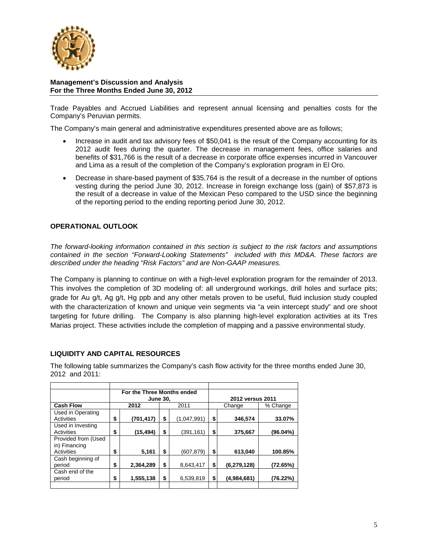

Trade Payables and Accrued Liabilities and represent annual licensing and penalties costs for the Company's Peruvian permits.

The Company's main general and administrative expenditures presented above are as follows;

- Increase in audit and tax advisory fees of \$50,041 is the result of the Company accounting for its 2012 audit fees during the quarter. The decrease in management fees, office salaries and benefits of \$31,766 is the result of a decrease in corporate office expenses incurred in Vancouver and Lima as a result of the completion of the Company's exploration program in El Oro.
- Decrease in share-based payment of \$35,764 is the result of a decrease in the number of options vesting during the period June 30, 2012. Increase in foreign exchange loss (gain) of \$57,873 is the result of a decrease in value of the Mexican Peso compared to the USD since the beginning of the reporting period to the ending reporting period June 30, 2012.

## **OPERATIONAL OUTLOOK**

*The forward-looking information contained in this section is subject to the risk factors and assumptions contained in the section "Forward-Looking Statements" included with this MD&A. These factors are described under the heading "Risk Factors" and are Non-GAAP measures.*

The Company is planning to continue on with a high-level exploration program for the remainder of 2013. This involves the completion of 3D modeling of: all underground workings, drill holes and surface pits; grade for Au g/t, Ag g/t, Hg ppb and any other metals proven to be useful, fluid inclusion study coupled with the characterization of known and unique vein segments via "a vein intercept study" and ore shoot targeting for future drilling. The Company is also planning high-level exploration activities at its Tres Marias project. These activities include the completion of mapping and a passive environmental study.

## **LIQUIDITY AND CAPITAL RESOURCES**

The following table summarizes the Company's cash flow activity for the three months ended June 30, 2012 and 2011:

|                     | For the Three Months ended |            |    |             |                  |             |          |
|---------------------|----------------------------|------------|----|-------------|------------------|-------------|----------|
|                     | <b>June 30,</b>            |            |    |             | 2012 versus 2011 |             |          |
| <b>Cash Flow</b>    |                            | 2012       |    | 2011        |                  | Change      | % Change |
| Used in Operating   |                            |            |    |             |                  |             |          |
| Activities          | \$                         | (701, 417) | \$ | (1,047,991) | \$               | 346,574     | 33.07%   |
| Used in Investing   |                            |            |    |             |                  |             |          |
| Activities          | \$                         | (15, 494)  | \$ | (391,161)   | \$               | 375,667     | (96.04%) |
| Provided from (Used |                            |            |    |             |                  |             |          |
| in) Financing       |                            |            |    |             |                  |             |          |
| Activities          | \$                         | 5,161      | \$ | (607,879)   | \$               | 613,040     | 100.85%  |
| Cash beginning of   |                            |            |    |             |                  |             |          |
| period              | \$                         | 2,364,289  | \$ | 8,643,417   | \$               | (6,279,128) | (72.65%) |
| Cash end of the     |                            |            |    |             |                  |             |          |
| period              | \$                         | 1,555,138  | \$ | 6,539,819   | \$               | (4,984,681) | (76.22%) |
|                     |                            |            |    |             |                  |             |          |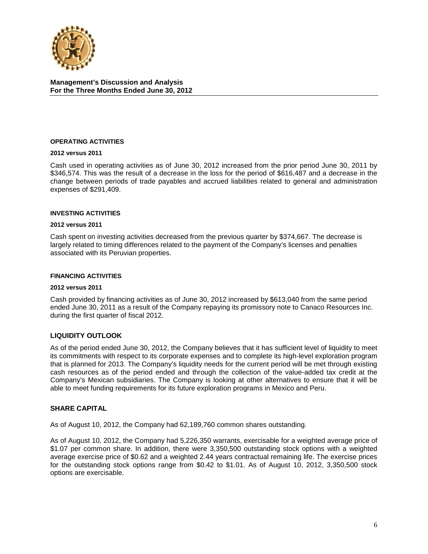

#### **OPERATING ACTIVITIES**

#### **2012 versus 2011**

Cash used in operating activities as of June 30, 2012 increased from the prior period June 30, 2011 by \$346,574. This was the result of a decrease in the loss for the period of \$616,487 and a decrease in the change between periods of trade payables and accrued liabilities related to general and administration expenses of \$291,409.

#### **INVESTING ACTIVITIES**

#### **2012 versus 2011**

Cash spent on investing activities decreased from the previous quarter by \$374,667. The decrease is largely related to timing differences related to the payment of the Company's licenses and penalties associated with its Peruvian properties.

#### **FINANCING ACTIVITIES**

#### **2012 versus 2011**

Cash provided by financing activities as of June 30, 2012 increased by \$613,040 from the same period ended June 30, 2011 as a result of the Company repaying its promissory note to Canaco Resources Inc. during the first quarter of fiscal 2012.

#### **LIQUIDITY OUTLOOK**

As of the period ended June 30, 2012, the Company believes that it has sufficient level of liquidity to meet its commitments with respect to its corporate expenses and to complete its high-level exploration program that is planned for 2013. The Company's liquidity needs for the current period will be met through existing cash resources as of the period ended and through the collection of the value-added tax credit at the Company's Mexican subsidiaries. The Company is looking at other alternatives to ensure that it will be able to meet funding requirements for its future exploration programs in Mexico and Peru.

#### **SHARE CAPITAL**

As of August 10, 2012, the Company had 62,189,760 common shares outstanding.

As of August 10, 2012, the Company had 5,226,350 warrants, exercisable for a weighted average price of \$1.07 per common share. In addition, there were 3,350,500 outstanding stock options with a weighted average exercise price of \$0.62 and a weighted 2.44 years contractual remaining life. The exercise prices for the outstanding stock options range from \$0.42 to \$1.01. As of August 10, 2012, 3,350,500 stock options are exercisable.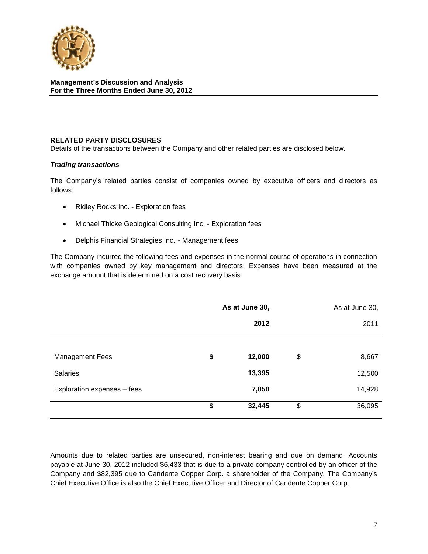

## **RELATED PARTY DISCLOSURES**

Details of the transactions between the Company and other related parties are disclosed below.

#### *Trading transactions*

The Company's related parties consist of companies owned by executive officers and directors as follows:

- Ridley Rocks Inc. Exploration fees
- Michael Thicke Geological Consulting Inc. Exploration fees
- Delphis Financial Strategies Inc. Management fees

The Company incurred the following fees and expenses in the normal course of operations in connection with companies owned by key management and directors. Expenses have been measured at the exchange amount that is determined on a cost recovery basis.

|                             | As at June 30, | As at June 30, |        |  |
|-----------------------------|----------------|----------------|--------|--|
|                             | 2012           |                | 2011   |  |
|                             |                |                |        |  |
| <b>Management Fees</b>      | \$<br>12,000   | \$             | 8,667  |  |
| <b>Salaries</b>             | 13,395         |                | 12,500 |  |
| Exploration expenses - fees | 7,050          |                | 14,928 |  |
|                             | \$<br>32,445   | \$             | 36,095 |  |

Amounts due to related parties are unsecured, non-interest bearing and due on demand. Accounts payable at June 30, 2012 included \$6,433 that is due to a private company controlled by an officer of the Company and \$82,395 due to Candente Copper Corp. a shareholder of the Company. The Company's Chief Executive Office is also the Chief Executive Officer and Director of Candente Copper Corp.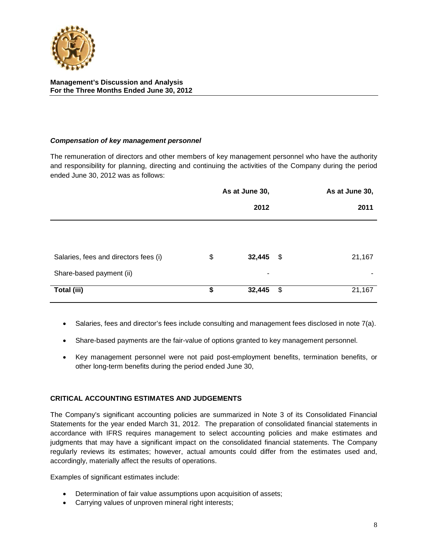

## *Compensation of key management personnel*

The remuneration of directors and other members of key management personnel who have the authority and responsibility for planning, directing and continuing the activities of the Company during the period ended June 30, 2012 was as follows:

|                                       | As at June 30, |             |    | As at June 30, |  |
|---------------------------------------|----------------|-------------|----|----------------|--|
|                                       |                | 2012        |    | 2011           |  |
|                                       |                |             |    |                |  |
| Salaries, fees and directors fees (i) | \$             | $32,445$ \$ |    | 21,167         |  |
| Share-based payment (ii)              |                | ۰           |    | ۰              |  |
| Total (iii)                           | \$             | 32,445      | \$ | 21,167         |  |

- Salaries, fees and director's fees include consulting and management fees disclosed in note 7(a).
- Share-based payments are the fair-value of options granted to key management personnel.
- Key management personnel were not paid post-employment benefits, termination benefits, or other long-term benefits during the period ended June 30,

#### **CRITICAL ACCOUNTING ESTIMATES AND JUDGEMENTS**

The Company's significant accounting policies are summarized in Note 3 of its Consolidated Financial Statements for the year ended March 31, 2012. The preparation of consolidated financial statements in accordance with IFRS requires management to select accounting policies and make estimates and judgments that may have a significant impact on the consolidated financial statements. The Company regularly reviews its estimates; however, actual amounts could differ from the estimates used and, accordingly, materially affect the results of operations.

Examples of significant estimates include:

- Determination of fair value assumptions upon acquisition of assets;
- Carrying values of unproven mineral right interests;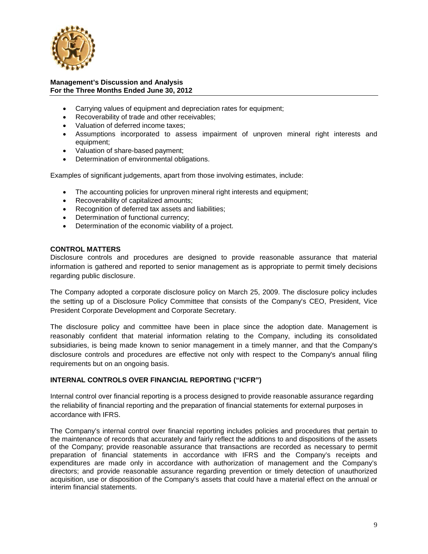

- Carrying values of equipment and depreciation rates for equipment;
- Recoverability of trade and other receivables;
- Valuation of deferred income taxes;
- Assumptions incorporated to assess impairment of unproven mineral right interests and equipment;
- Valuation of share-based payment;
- Determination of environmental obligations.

Examples of significant judgements, apart from those involving estimates, include:

- The accounting policies for unproven mineral right interests and equipment;
- Recoverability of capitalized amounts;
- Recognition of deferred tax assets and liabilities;
- Determination of functional currency;
- Determination of the economic viability of a project.

#### **CONTROL MATTERS**

Disclosure controls and procedures are designed to provide reasonable assurance that material information is gathered and reported to senior management as is appropriate to permit timely decisions regarding public disclosure.

The Company adopted a corporate disclosure policy on March 25, 2009. The disclosure policy includes the setting up of a Disclosure Policy Committee that consists of the Company's CEO, President, Vice President Corporate Development and Corporate Secretary.

The disclosure policy and committee have been in place since the adoption date. Management is reasonably confident that material information relating to the Company, including its consolidated subsidiaries, is being made known to senior management in a timely manner, and that the Company's disclosure controls and procedures are effective not only with respect to the Company's annual filing requirements but on an ongoing basis.

## **INTERNAL CONTROLS OVER FINANCIAL REPORTING ("ICFR")**

Internal control over financial reporting is a process designed to provide reasonable assurance regarding the reliability of financial reporting and the preparation of financial statements for external purposes in accordance with IFRS.

The Company's internal control over financial reporting includes policies and procedures that pertain to the maintenance of records that accurately and fairly reflect the additions to and dispositions of the assets of the Company; provide reasonable assurance that transactions are recorded as necessary to permit preparation of financial statements in accordance with IFRS and the Company's receipts and expenditures are made only in accordance with authorization of management and the Company's directors; and provide reasonable assurance regarding prevention or timely detection of unauthorized acquisition, use or disposition of the Company's assets that could have a material effect on the annual or interim financial statements.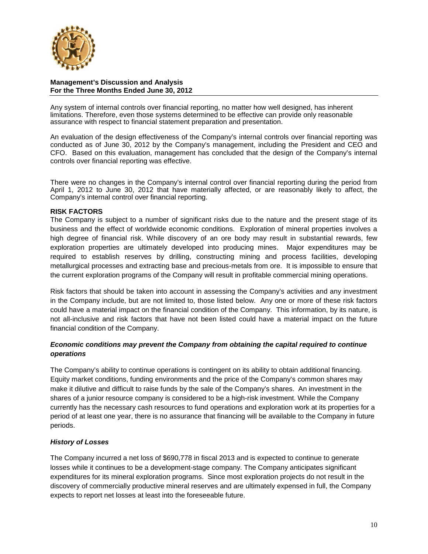

Any system of internal controls over financial reporting, no matter how well designed, has inherent limitations. Therefore, even those systems determined to be effective can provide only reasonable assurance with respect to financial statement preparation and presentation.

An evaluation of the design effectiveness of the Company's internal controls over financial reporting was conducted as of June 30, 2012 by the Company's management, including the President and CEO and CFO. Based on this evaluation, management has concluded that the design of the Company's internal controls over financial reporting was effective.

There were no changes in the Company's internal control over financial reporting during the period from April 1, 2012 to June 30, 2012 that have materially affected, or are reasonably likely to affect, the Company's internal control over financial reporting.

## **RISK FACTORS**

The Company is subject to a number of significant risks due to the nature and the present stage of its business and the effect of worldwide economic conditions. Exploration of mineral properties involves a high degree of financial risk. While discovery of an ore body may result in substantial rewards, few exploration properties are ultimately developed into producing mines. Major expenditures may be required to establish reserves by drilling, constructing mining and process facilities, developing metallurgical processes and extracting base and precious-metals from ore. It is impossible to ensure that the current exploration programs of the Company will result in profitable commercial mining operations.

Risk factors that should be taken into account in assessing the Company's activities and any investment in the Company include, but are not limited to, those listed below. Any one or more of these risk factors could have a material impact on the financial condition of the Company. This information, by its nature, is not all-inclusive and risk factors that have not been listed could have a material impact on the future financial condition of the Company.

## *Economic conditions may prevent the Company from obtaining the capital required to continue operations*

The Company's ability to continue operations is contingent on its ability to obtain additional financing. Equity market conditions, funding environments and the price of the Company's common shares may make it dilutive and difficult to raise funds by the sale of the Company's shares. An investment in the shares of a junior resource company is considered to be a high-risk investment. While the Company currently has the necessary cash resources to fund operations and exploration work at its properties for a period of at least one year, there is no assurance that financing will be available to the Company in future periods.

## *History of Losses*

The Company incurred a net loss of \$690,778 in fiscal 2013 and is expected to continue to generate losses while it continues to be a development-stage company. The Company anticipates significant expenditures for its mineral exploration programs. Since most exploration projects do not result in the discovery of commercially productive mineral reserves and are ultimately expensed in full, the Company expects to report net losses at least into the foreseeable future.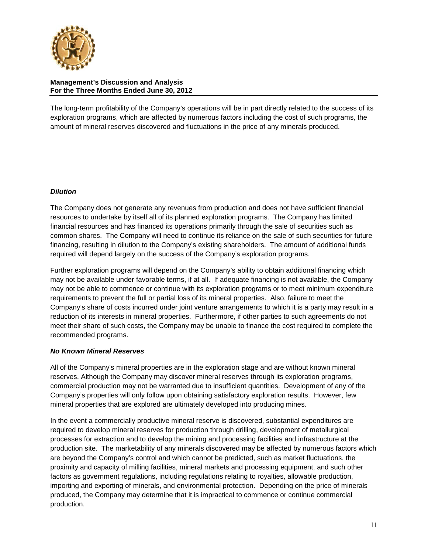

The long-term profitability of the Company's operations will be in part directly related to the success of its exploration programs, which are affected by numerous factors including the cost of such programs, the amount of mineral reserves discovered and fluctuations in the price of any minerals produced.

## *Dilution*

The Company does not generate any revenues from production and does not have sufficient financial resources to undertake by itself all of its planned exploration programs. The Company has limited financial resources and has financed its operations primarily through the sale of securities such as common shares. The Company will need to continue its reliance on the sale of such securities for future financing, resulting in dilution to the Company's existing shareholders. The amount of additional funds required will depend largely on the success of the Company's exploration programs.

Further exploration programs will depend on the Company's ability to obtain additional financing which may not be available under favorable terms, if at all. If adequate financing is not available, the Company may not be able to commence or continue with its exploration programs or to meet minimum expenditure requirements to prevent the full or partial loss of its mineral properties. Also, failure to meet the Company's share of costs incurred under joint venture arrangements to which it is a party may result in a reduction of its interests in mineral properties. Furthermore, if other parties to such agreements do not meet their share of such costs, the Company may be unable to finance the cost required to complete the recommended programs.

## *No Known Mineral Reserves*

All of the Company's mineral properties are in the exploration stage and are without known mineral reserves. Although the Company may discover mineral reserves through its exploration programs, commercial production may not be warranted due to insufficient quantities. Development of any of the Company's properties will only follow upon obtaining satisfactory exploration results. However, few mineral properties that are explored are ultimately developed into producing mines.

In the event a commercially productive mineral reserve is discovered, substantial expenditures are required to develop mineral reserves for production through drilling, development of metallurgical processes for extraction and to develop the mining and processing facilities and infrastructure at the production site. The marketability of any minerals discovered may be affected by numerous factors which are beyond the Company's control and which cannot be predicted, such as market fluctuations, the proximity and capacity of milling facilities, mineral markets and processing equipment, and such other factors as government regulations, including regulations relating to royalties, allowable production, importing and exporting of minerals, and environmental protection. Depending on the price of minerals produced, the Company may determine that it is impractical to commence or continue commercial production.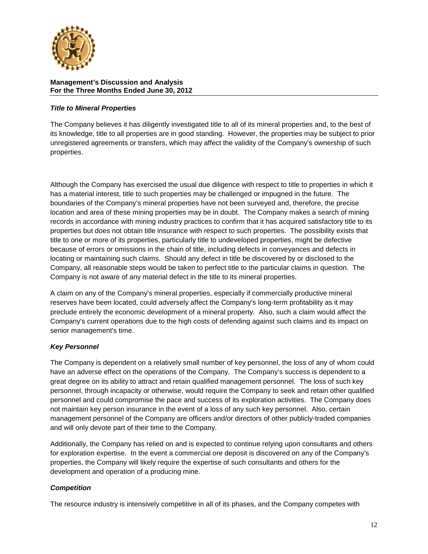

## *Title to Mineral Properties*

The Company believes it has diligently investigated title to all of its mineral properties and, to the best of its knowledge, title to all properties are in good standing. However, the properties may be subject to prior unregistered agreements or transfers, which may affect the validity of the Company's ownership of such properties.

Although the Company has exercised the usual due diligence with respect to title to properties in which it has a material interest, title to such properties may be challenged or impugned in the future. The boundaries of the Company's mineral properties have not been surveyed and, therefore, the precise location and area of these mining properties may be in doubt. The Company makes a search of mining records in accordance with mining industry practices to confirm that it has acquired satisfactory title to its properties but does not obtain title insurance with respect to such properties. The possibility exists that title to one or more of its properties, particularly title to undeveloped properties, might be defective because of errors or omissions in the chain of title, including defects in conveyances and defects in locating or maintaining such claims. Should any defect in title be discovered by or disclosed to the Company, all reasonable steps would be taken to perfect title to the particular claims in question. The Company is not aware of any material defect in the title to its mineral properties.

A claim on any of the Company's mineral properties, especially if commercially productive mineral reserves have been located, could adversely affect the Company's long-term profitability as it may preclude entirely the economic development of a mineral property. Also, such a claim would affect the Company's current operations due to the high costs of defending against such claims and its impact on senior management's time.

# *Key Personnel*

The Company is dependent on a relatively small number of key personnel, the loss of any of whom could have an adverse effect on the operations of the Company. The Company's success is dependent to a great degree on its ability to attract and retain qualified management personnel. The loss of such key personnel, through incapacity or otherwise, would require the Company to seek and retain other qualified personnel and could compromise the pace and success of its exploration activities. The Company does not maintain key person insurance in the event of a loss of any such key personnel. Also, certain management personnel of the Company are officers and/or directors of other publicly-traded companies and will only devote part of their time to the Company.

Additionally, the Company has relied on and is expected to continue relying upon consultants and others for exploration expertise. In the event a commercial ore deposit is discovered on any of the Company's properties, the Company will likely require the expertise of such consultants and others for the development and operation of a producing mine.

## *Competition*

The resource industry is intensively competitive in all of its phases, and the Company competes with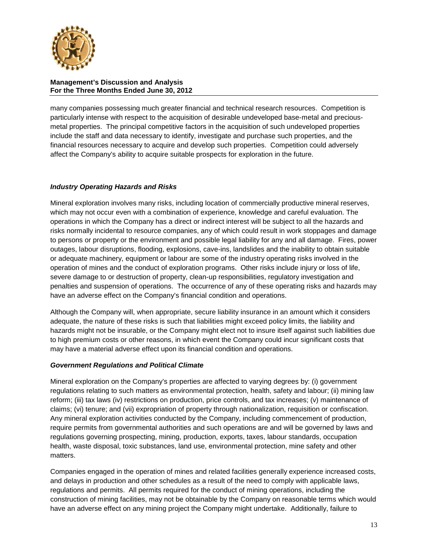

many companies possessing much greater financial and technical research resources. Competition is particularly intense with respect to the acquisition of desirable undeveloped base-metal and preciousmetal properties. The principal competitive factors in the acquisition of such undeveloped properties include the staff and data necessary to identify, investigate and purchase such properties, and the financial resources necessary to acquire and develop such properties. Competition could adversely affect the Company's ability to acquire suitable prospects for exploration in the future.

# *Industry Operating Hazards and Risks*

Mineral exploration involves many risks, including location of commercially productive mineral reserves, which may not occur even with a combination of experience, knowledge and careful evaluation. The operations in which the Company has a direct or indirect interest will be subject to all the hazards and risks normally incidental to resource companies, any of which could result in work stoppages and damage to persons or property or the environment and possible legal liability for any and all damage. Fires, power outages, labour disruptions, flooding, explosions, cave-ins, landslides and the inability to obtain suitable or adequate machinery, equipment or labour are some of the industry operating risks involved in the operation of mines and the conduct of exploration programs. Other risks include injury or loss of life, severe damage to or destruction of property, clean-up responsibilities, regulatory investigation and penalties and suspension of operations. The occurrence of any of these operating risks and hazards may have an adverse effect on the Company's financial condition and operations.

Although the Company will, when appropriate, secure liability insurance in an amount which it considers adequate, the nature of these risks is such that liabilities might exceed policy limits, the liability and hazards might not be insurable, or the Company might elect not to insure itself against such liabilities due to high premium costs or other reasons, in which event the Company could incur significant costs that may have a material adverse effect upon its financial condition and operations.

## *Government Regulations and Political Climate*

Mineral exploration on the Company's properties are affected to varying degrees by: (i) government regulations relating to such matters as environmental protection, health, safety and labour; (ii) mining law reform; (iii) tax laws (iv) restrictions on production, price controls, and tax increases; (v) maintenance of claims; (vi) tenure; and (vii) expropriation of property through nationalization, requisition or confiscation. Any mineral exploration activities conducted by the Company, including commencement of production, require permits from governmental authorities and such operations are and will be governed by laws and regulations governing prospecting, mining, production, exports, taxes, labour standards, occupation health, waste disposal, toxic substances, land use, environmental protection, mine safety and other matters.

Companies engaged in the operation of mines and related facilities generally experience increased costs, and delays in production and other schedules as a result of the need to comply with applicable laws, regulations and permits. All permits required for the conduct of mining operations, including the construction of mining facilities, may not be obtainable by the Company on reasonable terms which would have an adverse effect on any mining project the Company might undertake. Additionally, failure to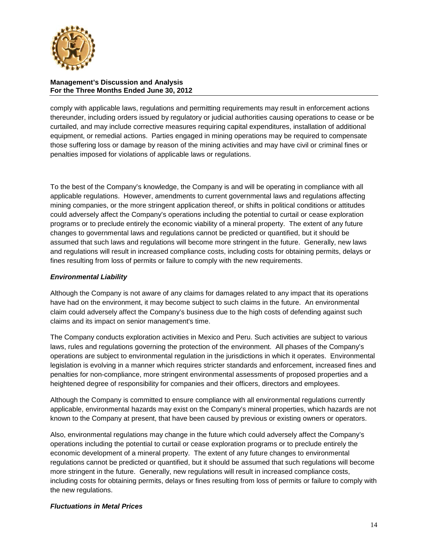

comply with applicable laws, regulations and permitting requirements may result in enforcement actions thereunder, including orders issued by regulatory or judicial authorities causing operations to cease or be curtailed, and may include corrective measures requiring capital expenditures, installation of additional equipment, or remedial actions. Parties engaged in mining operations may be required to compensate those suffering loss or damage by reason of the mining activities and may have civil or criminal fines or penalties imposed for violations of applicable laws or regulations.

To the best of the Company's knowledge, the Company is and will be operating in compliance with all applicable regulations. However, amendments to current governmental laws and regulations affecting mining companies, or the more stringent application thereof, or shifts in political conditions or attitudes could adversely affect the Company's operations including the potential to curtail or cease exploration programs or to preclude entirely the economic viability of a mineral property. The extent of any future changes to governmental laws and regulations cannot be predicted or quantified, but it should be assumed that such laws and regulations will become more stringent in the future. Generally, new laws and regulations will result in increased compliance costs, including costs for obtaining permits, delays or fines resulting from loss of permits or failure to comply with the new requirements.

## *Environmental Liability*

Although the Company is not aware of any claims for damages related to any impact that its operations have had on the environment, it may become subject to such claims in the future. An environmental claim could adversely affect the Company's business due to the high costs of defending against such claims and its impact on senior management's time.

The Company conducts exploration activities in Mexico and Peru. Such activities are subject to various laws, rules and regulations governing the protection of the environment. All phases of the Company's operations are subject to environmental regulation in the jurisdictions in which it operates. Environmental legislation is evolving in a manner which requires stricter standards and enforcement, increased fines and penalties for non-compliance, more stringent environmental assessments of proposed properties and a heightened degree of responsibility for companies and their officers, directors and employees.

Although the Company is committed to ensure compliance with all environmental regulations currently applicable, environmental hazards may exist on the Company's mineral properties, which hazards are not known to the Company at present, that have been caused by previous or existing owners or operators.

Also, environmental regulations may change in the future which could adversely affect the Company's operations including the potential to curtail or cease exploration programs or to preclude entirely the economic development of a mineral property. The extent of any future changes to environmental regulations cannot be predicted or quantified, but it should be assumed that such regulations will become more stringent in the future. Generally, new regulations will result in increased compliance costs, including costs for obtaining permits, delays or fines resulting from loss of permits or failure to comply with the new regulations.

## *Fluctuations in Metal Prices*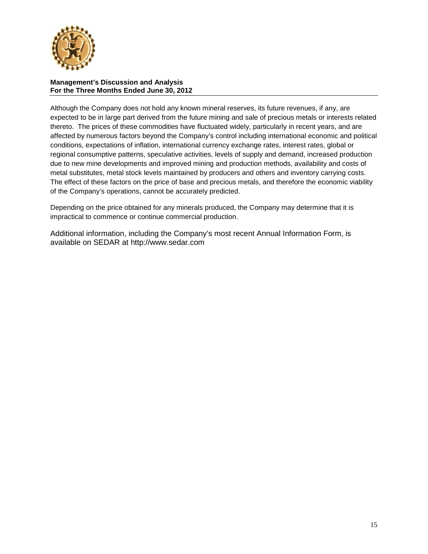

Although the Company does not hold any known mineral reserves, its future revenues, if any, are expected to be in large part derived from the future mining and sale of precious metals or interests related thereto. The prices of these commodities have fluctuated widely, particularly in recent years, and are affected by numerous factors beyond the Company's control including international economic and political conditions, expectations of inflation, international currency exchange rates, interest rates, global or regional consumptive patterns, speculative activities, levels of supply and demand, increased production due to new mine developments and improved mining and production methods, availability and costs of metal substitutes, metal stock levels maintained by producers and others and inventory carrying costs. The effect of these factors on the price of base and precious metals, and therefore the economic viability of the Company's operations, cannot be accurately predicted.

Depending on the price obtained for any minerals produced, the Company may determine that it is impractical to commence or continue commercial production.

Additional information, including the Company's most recent Annual Information Form, is available on SEDAR at [http://www.sedar.com](http://www.sedar.com/)